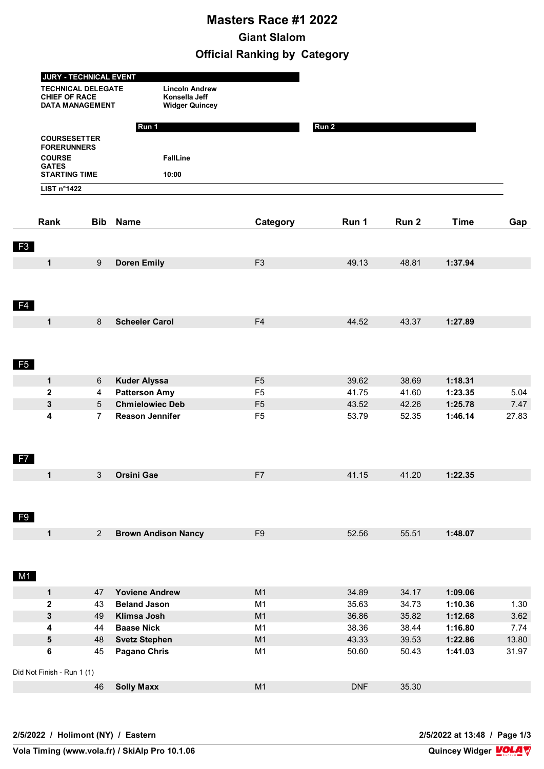## **Masters Race #1 2022 Giant Slalom Official Ranking by Category**

|                            | <b>JURY - TECHNICAL EVENT</b>                                               |                                                                 |                |            |                  |             |       |
|----------------------------|-----------------------------------------------------------------------------|-----------------------------------------------------------------|----------------|------------|------------------|-------------|-------|
|                            | <b>TECHNICAL DELEGATE</b><br><b>CHIEF OF RACE</b><br><b>DATA MANAGEMENT</b> | <b>Lincoln Andrew</b><br>Konsella Jeff<br><b>Widger Quincey</b> |                |            |                  |             |       |
|                            |                                                                             | Run 1                                                           |                | Run 2      |                  |             |       |
|                            | <b>COURSESETTER</b>                                                         |                                                                 |                |            |                  |             |       |
|                            | <b>FORERUNNERS</b>                                                          |                                                                 |                |            |                  |             |       |
| <b>COURSE</b>              |                                                                             | <b>FallLine</b>                                                 |                |            |                  |             |       |
| <b>GATES</b>               | <b>STARTING TIME</b>                                                        | 10:00                                                           |                |            |                  |             |       |
|                            | <b>LIST n°1422</b>                                                          |                                                                 |                |            |                  |             |       |
|                            |                                                                             |                                                                 |                |            |                  |             |       |
| Rank                       | <b>Bib</b>                                                                  | <b>Name</b>                                                     | Category       | Run 1      | Run <sub>2</sub> | <b>Time</b> | Gap   |
| F3                         |                                                                             |                                                                 |                |            |                  |             |       |
| $\mathbf 1$                | $9\,$                                                                       | <b>Doren Emily</b>                                              | F <sub>3</sub> | 49.13      | 48.81            | 1:37.94     |       |
|                            |                                                                             |                                                                 |                |            |                  |             |       |
| F <sub>4</sub>             |                                                                             |                                                                 |                |            |                  |             |       |
| $\mathbf{1}$               | 8                                                                           | <b>Scheeler Carol</b>                                           | F <sub>4</sub> | 44.52      | 43.37            | 1:27.89     |       |
|                            |                                                                             |                                                                 |                |            |                  |             |       |
|                            |                                                                             |                                                                 |                |            |                  |             |       |
|                            |                                                                             |                                                                 |                |            |                  |             |       |
| <b>F5</b>                  |                                                                             |                                                                 |                |            |                  |             |       |
| $\mathbf 1$                | 6                                                                           | <b>Kuder Alyssa</b>                                             | F <sub>5</sub> | 39.62      | 38.69            | 1:18.31     |       |
| $\mathbf 2$                | 4                                                                           | <b>Patterson Amy</b>                                            | F <sub>5</sub> | 41.75      | 41.60            | 1:23.35     | 5.04  |
| 3                          | 5                                                                           | <b>Chmielowiec Deb</b>                                          | F <sub>5</sub> | 43.52      | 42.26            | 1:25.78     | 7.47  |
| 4                          | $\overline{7}$                                                              | <b>Reason Jennifer</b>                                          | F <sub>5</sub> | 53.79      | 52.35            | 1:46.14     | 27.83 |
|                            |                                                                             |                                                                 |                |            |                  |             |       |
|                            |                                                                             |                                                                 |                |            |                  |             |       |
| F <sub>7</sub>             |                                                                             |                                                                 |                |            |                  |             |       |
| 1                          | 3                                                                           | <b>Orsini Gae</b>                                               | F7             | 41.15      | 41.20            | 1:22.35     |       |
|                            |                                                                             |                                                                 |                |            |                  |             |       |
|                            |                                                                             |                                                                 |                |            |                  |             |       |
|                            |                                                                             |                                                                 |                |            |                  |             |       |
| F <sub>9</sub>             |                                                                             |                                                                 |                |            |                  |             |       |
| $\mathbf 1$                | 2                                                                           | <b>Brown Andison Nancy</b>                                      | F <sub>9</sub> | 52.56      | 55.51            | 1:48.07     |       |
|                            |                                                                             |                                                                 |                |            |                  |             |       |
|                            |                                                                             |                                                                 |                |            |                  |             |       |
|                            |                                                                             |                                                                 |                |            |                  |             |       |
| M1                         |                                                                             |                                                                 |                |            |                  |             |       |
| $\mathbf 1$                | 47                                                                          | <b>Yoviene Andrew</b>                                           | M1             | 34.89      | 34.17            | 1:09.06     |       |
| $\mathbf 2$                | 43                                                                          | <b>Beland Jason</b>                                             | M <sub>1</sub> | 35.63      | 34.73            | 1:10.36     | 1.30  |
| 3                          | 49                                                                          | Klimsa Josh                                                     | M1             | 36.86      | 35.82            | 1:12.68     | 3.62  |
| 4                          | 44                                                                          | <b>Baase Nick</b>                                               | M1             | 38.36      | 38.44            | 1:16.80     | 7.74  |
| 5                          | 48                                                                          | <b>Svetz Stephen</b>                                            | M1             | 43.33      | 39.53            | 1:22.86     | 13.80 |
| $\bf 6$                    | 45                                                                          | <b>Pagano Chris</b>                                             | M1             | 50.60      | 50.43            | 1:41.03     | 31.97 |
| Did Not Finish - Run 1 (1) |                                                                             |                                                                 |                |            |                  |             |       |
|                            |                                                                             |                                                                 |                |            |                  |             |       |
|                            | 46                                                                          | <b>Solly Maxx</b>                                               | M1             | <b>DNF</b> | 35.30            |             |       |
|                            |                                                                             |                                                                 |                |            |                  |             |       |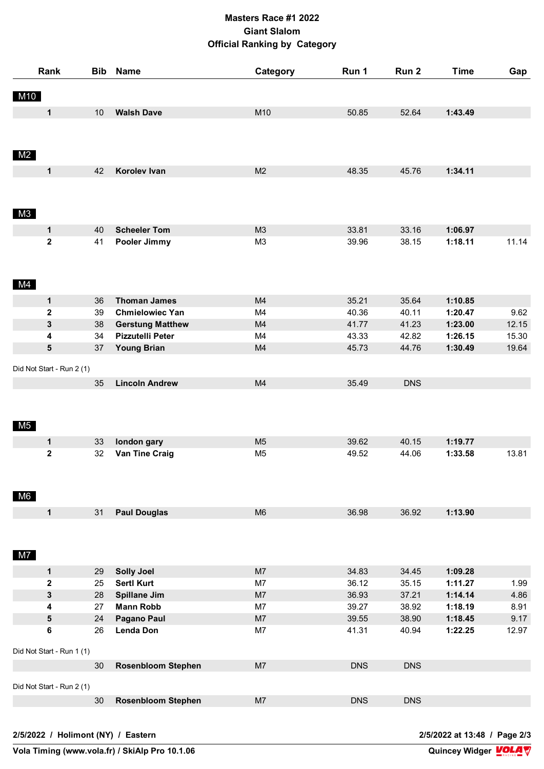## **Masters Race #1 2022 Giant Slalom Official Ranking by Category**

|                | Rank                      | <b>Bib</b> | <b>Name</b>               | Category       | Run 1      | Run 2      | <b>Time</b> | Gap   |
|----------------|---------------------------|------------|---------------------------|----------------|------------|------------|-------------|-------|
| M10            |                           |            |                           |                |            |            |             |       |
|                | $\mathbf 1$               | 10         | <b>Walsh Dave</b>         | M10            | 50.85      | 52.64      | 1:43.49     |       |
|                |                           |            |                           |                |            |            |             |       |
|                |                           |            |                           |                |            |            |             |       |
| M2             |                           |            |                           |                |            |            |             |       |
|                | $\mathbf 1$               | 42         | Korolev Ivan              | M <sub>2</sub> | 48.35      | 45.76      | 1:34.11     |       |
|                |                           |            |                           |                |            |            |             |       |
|                |                           |            |                           |                |            |            |             |       |
| M3             |                           |            |                           |                |            |            |             |       |
|                | $\mathbf 1$               | 40         | <b>Scheeler Tom</b>       | M3             | 33.81      | 33.16      | 1:06.97     |       |
|                | $\overline{\mathbf{2}}$   | 41         | Pooler Jimmy              | M <sub>3</sub> | 39.96      | 38.15      | 1:18.11     | 11.14 |
|                |                           |            |                           |                |            |            |             |       |
|                |                           |            |                           |                |            |            |             |       |
| M4             |                           |            |                           |                |            |            |             |       |
|                | 1                         | 36         | <b>Thoman James</b>       | M4             | 35.21      | 35.64      | 1:10.85     |       |
|                | $\mathbf{2}$              | 39         | <b>Chmielowiec Yan</b>    | M4             | 40.36      | 40.11      | 1:20.47     | 9.62  |
|                | 3                         | 38         | <b>Gerstung Matthew</b>   | M4             | 41.77      | 41.23      | 1:23.00     | 12.15 |
|                | 4                         | 34         | Pizzutelli Peter          | M4             | 43.33      | 42.82      | 1:26.15     | 15.30 |
|                | 5                         | 37         | <b>Young Brian</b>        | M4             | 45.73      | 44.76      | 1:30.49     | 19.64 |
|                | Did Not Start - Run 2 (1) |            |                           |                |            |            |             |       |
|                |                           | 35         | <b>Lincoln Andrew</b>     | M4             | 35.49      | <b>DNS</b> |             |       |
|                |                           |            |                           |                |            |            |             |       |
|                |                           |            |                           |                |            |            |             |       |
|                |                           |            |                           |                |            |            |             |       |
| M5             |                           |            |                           |                |            |            |             |       |
|                | 1                         | 33         | london gary               | M <sub>5</sub> | 39.62      | 40.15      | 1:19.77     |       |
|                | $\mathbf 2$               | 32         | Van Tine Craig            | M <sub>5</sub> | 49.52      | 44.06      | 1:33.58     | 13.81 |
|                |                           |            |                           |                |            |            |             |       |
|                |                           |            |                           |                |            |            |             |       |
| M6             |                           |            |                           |                |            |            |             |       |
|                | $\mathbf 1$               | 31         | <b>Paul Douglas</b>       | M <sub>6</sub> | 36.98      | 36.92      | 1:13.90     |       |
|                |                           |            |                           |                |            |            |             |       |
|                |                           |            |                           |                |            |            |             |       |
| M <sub>7</sub> |                           |            |                           |                |            |            |             |       |
|                | $\mathbf 1$               | 29         | <b>Solly Joel</b>         | M7             | 34.83      | 34.45      | 1:09.28     |       |
|                | 2                         | 25         | <b>Sertl Kurt</b>         | M7             | 36.12      | 35.15      | 1:11.27     | 1.99  |
|                | 3                         | 28         | <b>Spillane Jim</b>       | M7             | 36.93      | 37.21      | 1:14.14     | 4.86  |
|                | 4                         | 27         | <b>Mann Robb</b>          | M7             | 39.27      | 38.92      | 1:18.19     | 8.91  |
|                | 5                         | 24         | <b>Pagano Paul</b>        | M7             | 39.55      | 38.90      | 1:18.45     | 9.17  |
|                | 6                         | 26         | <b>Lenda Don</b>          | M7             | 41.31      | 40.94      | 1:22.25     | 12.97 |
|                | Did Not Start - Run 1 (1) |            |                           |                |            |            |             |       |
|                |                           |            |                           |                |            |            |             |       |
|                |                           | 30         | <b>Rosenbloom Stephen</b> | M <sub>7</sub> | <b>DNS</b> | <b>DNS</b> |             |       |
|                | Did Not Start - Run 2 (1) |            |                           |                |            |            |             |       |
|                |                           | 30         | <b>Rosenbloom Stephen</b> | M <sub>7</sub> | <b>DNS</b> | <b>DNS</b> |             |       |
|                |                           |            |                           |                |            |            |             |       |
|                |                           |            |                           |                |            |            |             |       |